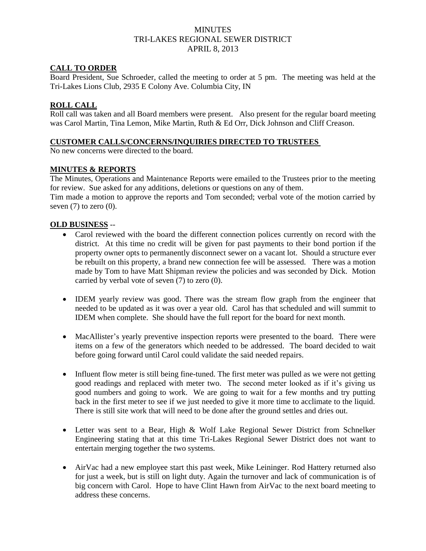# **MINUTES** TRI-LAKES REGIONAL SEWER DISTRICT APRIL 8, 2013

### **CALL TO ORDER**

Board President, Sue Schroeder, called the meeting to order at 5 pm. The meeting was held at the Tri-Lakes Lions Club, 2935 E Colony Ave. Columbia City, IN

### **ROLL CALL**

Roll call was taken and all Board members were present. Also present for the regular board meeting was Carol Martin, Tina Lemon, Mike Martin, Ruth & Ed Orr, Dick Johnson and Cliff Creason.

#### **CUSTOMER CALLS/CONCERNS/INQUIRIES DIRECTED TO TRUSTEES**

No new concerns were directed to the board.

## **MINUTES & REPORTS**

The Minutes, Operations and Maintenance Reports were emailed to the Trustees prior to the meeting for review. Sue asked for any additions, deletions or questions on any of them.

Tim made a motion to approve the reports and Tom seconded; verbal vote of the motion carried by seven  $(7)$  to zero  $(0)$ .

### **OLD BUSINESS** --

- Carol reviewed with the board the different connection polices currently on record with the district. At this time no credit will be given for past payments to their bond portion if the property owner opts to permanently disconnect sewer on a vacant lot. Should a structure ever be rebuilt on this property, a brand new connection fee will be assessed. There was a motion made by Tom to have Matt Shipman review the policies and was seconded by Dick. Motion carried by verbal vote of seven  $(7)$  to zero  $(0)$ .
- IDEM yearly review was good. There was the stream flow graph from the engineer that needed to be updated as it was over a year old. Carol has that scheduled and will summit to IDEM when complete. She should have the full report for the board for next month.
- MacAllister's yearly preventive inspection reports were presented to the board. There were items on a few of the generators which needed to be addressed. The board decided to wait before going forward until Carol could validate the said needed repairs.
- Influent flow meter is still being fine-tuned. The first meter was pulled as we were not getting good readings and replaced with meter two. The second meter looked as if it's giving us good numbers and going to work. We are going to wait for a few months and try putting back in the first meter to see if we just needed to give it more time to acclimate to the liquid. There is still site work that will need to be done after the ground settles and dries out.
- Letter was sent to a Bear, High & Wolf Lake Regional Sewer District from Schnelker Engineering stating that at this time Tri-Lakes Regional Sewer District does not want to entertain merging together the two systems.
- AirVac had a new employee start this past week, Mike Leininger. Rod Hattery returned also for just a week, but is still on light duty. Again the turnover and lack of communication is of big concern with Carol. Hope to have Clint Hawn from AirVac to the next board meeting to address these concerns.